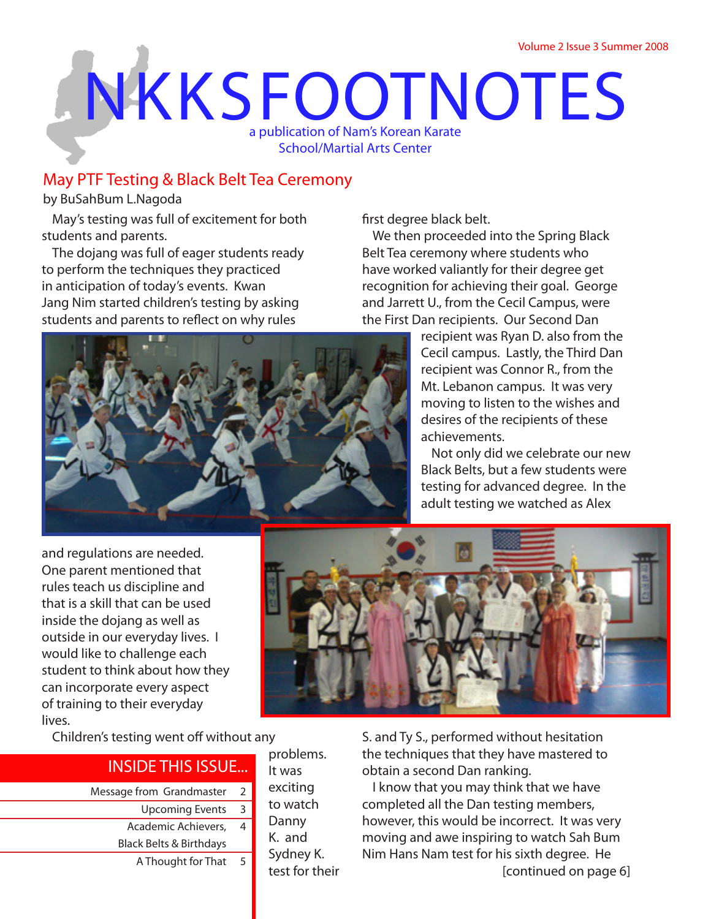# **NKKSFOOTNOTES** a publication of Nam's Korean Karate School/Martial Arts Center

## **May PTF Testing & Black Belt Tea Ceremony**

*by BuSahBum L.Nagoda*

May's testing was full of excitement for both students and parents.

The dojang was full of eager students ready to perform the techniques they practiced in anticipation of today's events. Kwan Jang Nim started children's testing by asking students and parents to reflect on why rules

first degree black belt.

We then proceeded into the Spring Black Belt Tea ceremony where students who have worked valiantly for their degree get recognition for achieving their goal. George and Jarrett U., from the Cecil Campus, were the First Dan recipients. Our Second Dan



recipient was Ryan D. also from the Cecil campus. Lastly, the Third Dan recipient was Connor R., from the Mt. Lebanon campus. It was very moving to listen to the wishes and desires of the recipients of these achievements.

Not only did we celebrate our new Black Belts, but a few students were testing for advanced degree. In the adult testing we watched as Alex

and regulations are needed. One parent mentioned that rules teach us discipline and that is a skill that can be used inside the dojang as well as outside in our everyday lives. I would like to challenge each student to think about how they can incorporate every aspect of training to their everyday lives.

Children's testing went off without any

# **INSIDE THIS ISSUE...**

- Message from Grandmaster 2
	- Upcoming Events
	- Academic Achievers, Black Belts & Birthdays 4
		- A Thought for That

problems. It was exciting to watch Danny K. and Sydney K. test for their

3

5



S. and Ty S., performed without hesitation the techniques that they have mastered to obtain a second Dan ranking.

I know that you may think that we have completed all the Dan testing members, however, this would be incorrect. It was very moving and awe inspiring to watch Sah Bum Nim Hans Nam test for his sixth degree. He *[continued on page 6]*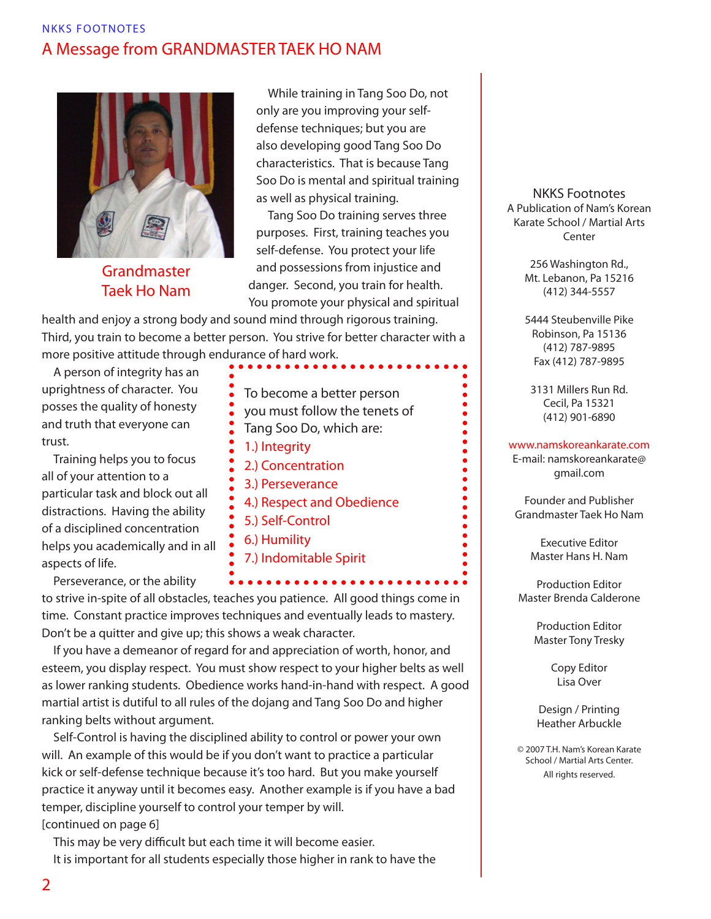## NKKS FOOTNOTES **A Message from GRANDMASTER TAEK HO NAM**



**Grandmaster Taek Ho Nam**

While training in Tang Soo Do, not only are you improving your selfdefense techniques; but you are also developing good Tang Soo Do characteristics. That is because Tang Soo Do is mental and spiritual training as well as physical training.

Tang Soo Do training serves three purposes. First, training teaches you **self-defense**. You protect your life and possessions from injustice and danger. Second, you train for **health**. You promote your physical and spiritual

health and enjoy a strong body and sound mind through rigorous training. Third, you train to become a **better person**. You strive for better character with a more positive attitude through endurance of hard work.

A person of **integrity** has an uprightness of character. You posses the quality of honesty and truth that everyone can trust.

Training helps you to focus all of your attention to a particular task and block out all distractions. Having the ability of a disciplined **concentration** helps you academically and in all aspects of life.

**Perseverance**, or the ability

- **To become a better person**
- **you must follow the tenets of**
- **Tang Soo Do, which are:**
- **1.) Integrity**
- **2.) Concentration**
- **3.) Perseverance**
- **4.) Respect and Obedience**
- **5.) Self-Control**
- **6.) Humility**
- **7.) Indomitable Spirit**

to strive in-spite of all obstacles, teaches you patience. All good things come in time. Constant practice improves techniques and eventually leads to mastery. Don't be a quitter and give up; this shows a weak character.

If you have a demeanor of regard for and appreciation of worth, honor, and esteem, you display **respect**. You must show respect to your higher belts as well as lower ranking students. **Obedience** works hand-in-hand with respect. A good martial artist is dutiful to all rules of the dojang and Tang Soo Do and higher ranking belts without argument.

**Self-Control** is having the disciplined ability to control or power your own will. An example of this would be if you don't want to practice a particular kick or self-defense technique because it's too hard. But you make yourself practice it anyway until it becomes easy. Another example is if you have a bad temper, discipline yourself to control your temper by will.

*[continued on page 6]*

This may be very difficult but each time it will become easier.

It is important for all students especially those higher in rank to have the

#### **NKKS Footnotes A Publication of Nam's Korean Karate School / Martial Arts Center**

256 Washington Rd., Mt. Lebanon, Pa 15216 (412) 344-5557

5444 Steubenville Pike Robinson, Pa 15136 (412) 787-9895 Fax (412) 787-9895

3131 Millers Run Rd. Cecil, Pa 15321 (412) 901-6890

 $\bullet$  $\bullet$  $\bullet$ 

 $\bullet$  $\bullet$  $\bullet$  $\bullet$  $\bullet$  $\bullet$  $\bullet$  $\bullet$  $\bullet$  $\bullet$ 

#### www.namskoreankarate.com

E-mail: namskoreankarate@ gmail.com

Founder and Publisher Grandmaster Taek Ho Nam

> Executive Editor Master Hans H. Nam

Production Editor Master Brenda Calderone

> Production Editor Master Tony Tresky

> > Copy Editor Lisa Over

Design / Printing Heather Arbuckle

© 2007 T.H. Nam's Korean Karate School / Martial Arts Center. All rights reserved.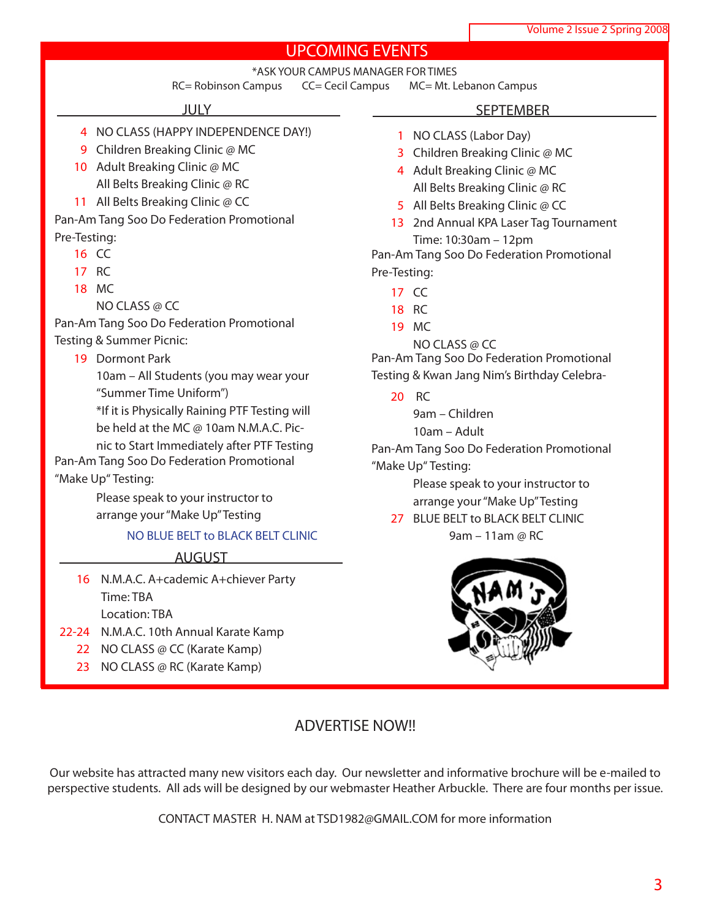## **UPCOMING EVENTS**

\*ASK YOUR CAMPUS MANAGER FOR TIMES

RC= Robinson Campus CC= Cecil Campus MC= Mt. Lebanon Campus

### **JULY**

- 4 NO CLASS (HAPPY INDEPENDENCE DAY!)
- 9 Children Breaking Clinic @ MC 10 Adult Breaking Clinic @ MC
- All Belts Breaking Clinic @ RC
- 11 All Belts Breaking Clinic @ CC
- Pan-Am Tang Soo Do Federation Promotional Pre-Testing:
	- 16 CC
	- 17 RC
	- 18 MC

NO CLASS @ CC

Pan-Am Tang Soo Do Federation Promotional Testing & Summer Picnic:

19 Dormont Park

10am – All Students (you may wear your "Summer Time Uniform")

\*If it is **Physically Raining** PTF Testing will be held at the MC @ 10am N.M.A.C. Pic-

nic to Start Immediately after PTF Testing Pan-Am Tang Soo Do Federation Promotional "Make Up" Testing:

> Please speak to your instructor to arrange your "Make Up" Testing

## **NO BLUE BELT to BLACK BELT CLINIC**

**AUGUST**

- 16 N.M.A.C. A+cademic A+chiever Party Time: TBA Location: TBA
- 22-24 N.M.A.C. 10th Annual Karate Kamp
	- 22 NO CLASS @ CC (Karate Kamp)
	- 23 NO CLASS @ RC (Karate Kamp)

#### **SEPTEMBER**

- 1 NO CLASS (Labor Day)
- 3 Children Breaking Clinic @ MC
- 4 Adult Breaking Clinic @ MC All Belts Breaking Clinic @ RC
- 5 All Belts Breaking Clinic @ CC
- 13 2nd Annual KPA Laser Tag Tournament Time: 10:30am – 12pm

Pan-Am Tang Soo Do Federation Promotional Pre-Testing:

- 17 CC
- 18 RC
- 19 MC
	- NO CLASS @ CC

Pan-Am Tang Soo Do Federation Promotional Testing & Kwan Jang Nim's Birthday Celebra-

20 RC

9am – Children

10am – Adult

Pan-Am Tang Soo Do Federation Promotional "Make Up" Testing:

> Please speak to your instructor to arrange your "Make Up" Testing

27 BLUE BELT to BLACK BELT CLINIC 9am – 11am @ RC



## **ADVERTISE NOW!!**

Our website has attracted many new visitors each day. Our newsletter and informative brochure will be e-mailed to perspective students. All ads will be designed by our webmaster Heather Arbuckle. There are four months per issue.

**CONTACT MASTER H. NAM at TSD1982@GMAIL.COM for more information**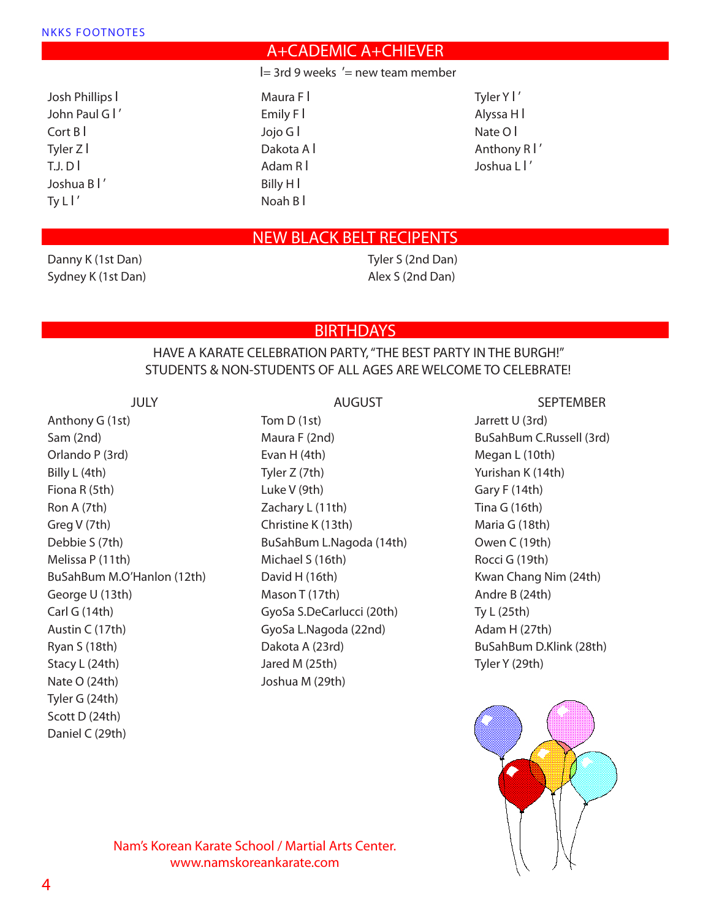## **A+CADEMIC A+CHIEVER**

 $=$  3rd 9 weeks '= new team member

Josh Phillips l John Paul G I' Cort B l Tyler Z l T.J. D l Joshua B l ' Ty  $LI'$ 

Maura F l Emily F l Jojo G l Dakota A l Adam R l Billy H l Noah B l

Tyler Y l ' Alyssa H l Nate O l Anthony R l ' Joshua L l '

## **NEW BLACK BELT RECIPENTS**

Danny K (1st Dan) Sydney K (1st Dan)

## Tyler S (2nd Dan) Alex S (2nd Dan)

**BIRTHDAYS**

## HAVE A KARATE CELEBRATION PARTY, "THE BEST PARTY IN THE BURGH!" STUDENTS & NON-STUDENTS OF ALL AGES ARE WELCOME TO CELEBRATE!

**JULY**

Anthony G (1st) Sam (2nd) Orlando P (3rd) Billy L (4th) Fiona R (5th) Ron A (7th) Greg V (7th) Debbie S (7th) Melissa P (11th) BuSahBum M.O'Hanlon (12th) George U (13th) Carl G (14th) Austin C (17th) Ryan S (18th) Stacy L (24th) Nate O (24th) Tyler G (24th) Scott D (24th) Daniel C (29th)

**AUGUST**

Tom D (1st) Maura F (2nd) Evan H (4th) Tyler Z (7th) Luke V (9th) Zachary L (11th) Christine K (13th) BuSahBum L.Nagoda (14th) Michael S (16th) David H (16th) Mason T (17th) GyoSa S.DeCarlucci (20th) GyoSa L.Nagoda (22nd) Dakota A (23rd) Jared M (25th) Joshua M (29th)

#### **SEPTEMBER**

Jarrett U (3rd) BuSahBum C.Russell (3rd) Megan L (10th) Yurishan K (14th) Gary F (14th) Tina G (16th) Maria G (18th) Owen C (19th) Rocci G (19th) Kwan Chang Nim (24th) Andre B (24th) Ty L (25th) Adam H (27th) BuSahBum D.Klink (28th) Tyler Y (29th)



## **Nam's Korean Karate School / Martial Arts Center. www.namskoreankarate.com**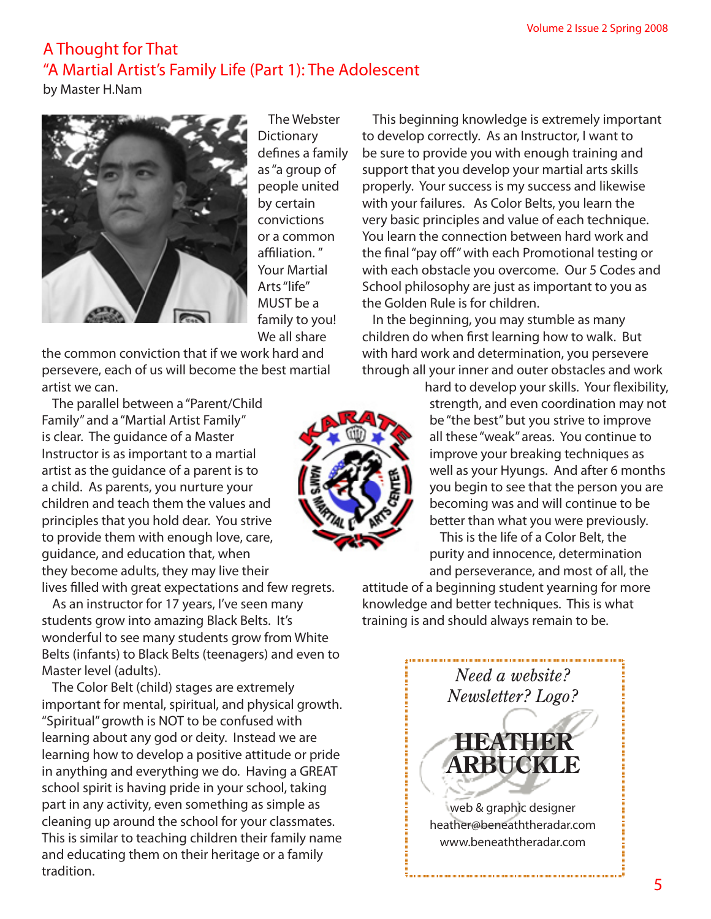## **A Thought for That "A Martial Artist's Family Life (Part 1): The Adolescent**

*by Master H.Nam*



The Webster **Dictionary** defines a family as "a group of people united by certain convictions or a common affiliation. " Your Martial Arts "life" MUST be a family to you! We all share

the common conviction that if we work hard and persevere, each of us will become the best martial artist we can.

The parallel between a "Parent/Child Family" and a "Martial Artist Family" is clear. The guidance of a Master Instructor is as important to a martial artist as the guidance of a parent is to a child. As parents, you nurture your children and teach them the values and principles that you hold dear. You strive to provide them with enough love, care, guidance, and education that, when they become adults, they may live their

lives filled with great expectations and few regrets.

As an instructor for 17 years, I've seen many students grow into amazing Black Belts. It's wonderful to see many students grow from White Belts (infants) to Black Belts (teenagers) and even to Master level (adults).

The Color Belt (child) stages are extremely important for mental, spiritual, and physical growth. "Spiritual" growth is NOT to be confused with learning about any god or deity. Instead we are learning how to develop a positive attitude or pride in anything and everything we do. Having a GREAT school spirit is having pride in your school, taking part in any activity, even something as simple as cleaning up around the school for your classmates. This is similar to teaching children their family name and educating them on their heritage or a family tradition.

This beginning knowledge is extremely important to develop correctly. As an Instructor, I want to be sure to provide you with enough training and support that you develop your martial arts skills properly. Your success is my success and likewise with your failures. As Color Belts, you learn the very basic principles and value of each technique. You learn the connection between hard work and the final "pay off" with each Promotional testing or with each obstacle you overcome. Our 5 Codes and School philosophy are just as important to you as the Golden Rule is for children.

In the beginning, you may stumble as many children do when first learning how to walk. But with hard work and determination, you persevere through all your inner and outer obstacles and work

> hard to develop your skills. Your flexibility, strength, and even coordination may not be "the best" but you strive to improve all these "weak" areas. You continue to improve your breaking techniques as well as your Hyungs. And after 6 months you begin to see that the person you are becoming was and will continue to be better than what you were previously. This is the life of a Color Belt, the purity and innocence, determination

and perseverance, and most of all, the attitude of a beginning student yearning for more knowledge and better techniques. This is what training is and should always remain to be.